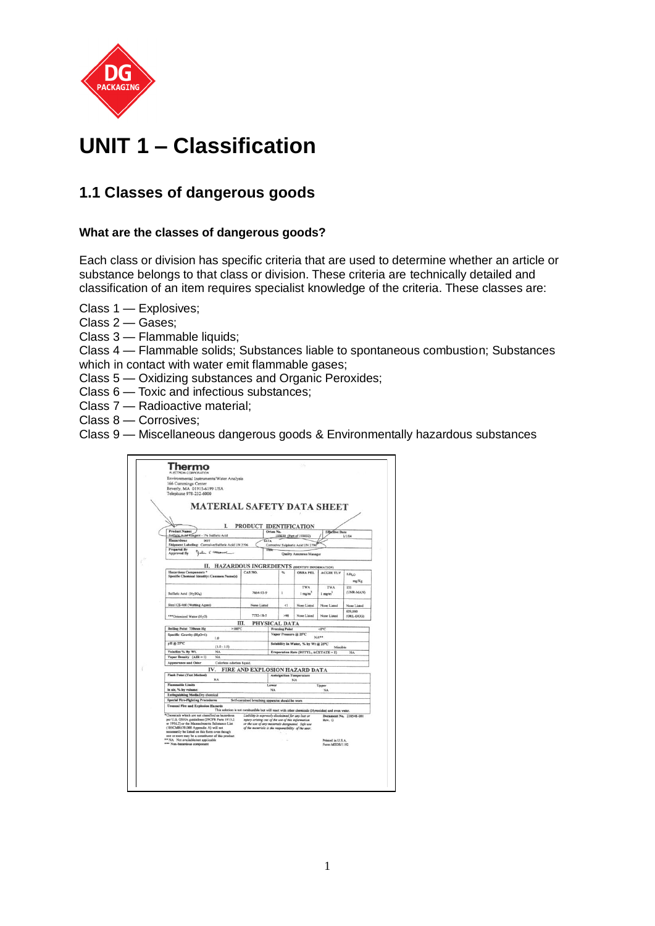

## **UNIT 1 – Classification**

## **1.1 Classes of dangerous goods**

## **What are the classes of dangerous goods?**

Each class or division has specific criteria that are used to determine whether an article or substance belongs to that class or division. These criteria are technically detailed and classification of an item requires specialist knowledge of the criteria. These classes are:

- Class 1 Explosives;
- Class 2 Gases;
- Class 3 Flammable liquids;

Class 4 — Flammable solids; Substances liable to spontaneous combustion; Substances which in contact with water emit flammable gases;

- Class 5 Oxidizing substances and Organic Peroxides;
- Class 6 Toxic and infectious substances;
- Class 7 Radioactive material;
- Class 8 Corrosives;
- Class 9 Miscellaneous dangerous goods & Environmentally hazardous substances

| Environmental Instruments/Water Analysis<br>166 Cummings Center<br>Beverly, MA 01915-6199 USA<br>Telephone 978-232-6000                                                                                                                     |                                                                                                                                                              |                                           |                                       |                                |                           |
|---------------------------------------------------------------------------------------------------------------------------------------------------------------------------------------------------------------------------------------------|--------------------------------------------------------------------------------------------------------------------------------------------------------------|-------------------------------------------|---------------------------------------|--------------------------------|---------------------------|
| <b>MATERIAL SAFETY DATA SHEET</b><br>L                                                                                                                                                                                                      | PRODUCT IDENTIFICATION                                                                                                                                       |                                           |                                       |                                |                           |
| <b>Product Name:</b><br>Sulfuric Acid Keagent - 1% Sulfuric Acid                                                                                                                                                                            |                                                                                                                                                              | Orien No.                                 | 193030 (Part of 193032)               | <b>Effective Date</b>          | 1/1/04                    |
| <b>Hazardous</b><br>DOT                                                                                                                                                                                                                     | <b>IATA</b>                                                                                                                                                  |                                           |                                       |                                |                           |
| Shipment Labeling: Corrosive/Sulfuric Acid UN 2796<br><b>Prepared By</b>                                                                                                                                                                    |                                                                                                                                                              | Corrosive/ Sulphuric Acid UN 279<br>Title |                                       |                                |                           |
| John E Masseur<br><b>Approved By</b>                                                                                                                                                                                                        |                                                                                                                                                              |                                           | Quality Assurance Manager             |                                |                           |
| <b>II. HAZARDOUS INGREDIENTS (DENTIFY INFORMATION)</b>                                                                                                                                                                                      |                                                                                                                                                              |                                           |                                       |                                |                           |
| Hazardous Components *                                                                                                                                                                                                                      | CAS NO.                                                                                                                                                      | ۰.                                        | <b>OSHA PEL</b>                       | <b>ACGIH TLV</b>               |                           |
| Specific Chemical Identity: Common Name(s)                                                                                                                                                                                                  |                                                                                                                                                              |                                           |                                       |                                | LD <sub>LO</sub><br>mg/Kg |
|                                                                                                                                                                                                                                             |                                                                                                                                                              |                                           | <b>TWA</b>                            | <b>TWA</b>                     | 135                       |
| Sulfuric Acid (H <sub>2</sub> SO <sub>4</sub> )                                                                                                                                                                                             | 7664-91-9                                                                                                                                                    | I.                                        | $1$ mg/m <sup>3</sup>                 | $1$ mg/m <sup>3</sup>          | (UNR-MAN)                 |
| Steol CS-460 (Wetting Agent)                                                                                                                                                                                                                | None Listed                                                                                                                                                  | <1                                        | None Listed                           | None Listed                    | None Listed               |
| ***Deionized Water (H <sub>2</sub> O)                                                                                                                                                                                                       | 7732-18-5                                                                                                                                                    | >98                                       | None Listed                           | None Listed                    | 629,000<br>(ORL-DOG)      |
|                                                                                                                                                                                                                                             | Ш.                                                                                                                                                           | PHYSICAL DATA                             |                                       |                                |                           |
| $>100^{\circ}$ C<br><b>Boiling Point 750mm Hg</b>                                                                                                                                                                                           |                                                                                                                                                              | <b>Freezing Point</b>                     |                                       | <0°C                           |                           |
| Specific Gravity (H <sub>2</sub> O-1)<br>1.0                                                                                                                                                                                                |                                                                                                                                                              | Vapor Pressure @ 25°C<br>$NA**$           |                                       |                                |                           |
| pH @ 25°C<br>$(1.0 - 1.5)$                                                                                                                                                                                                                  |                                                                                                                                                              |                                           | Solubility In Water, % by Wt @ 25°C   | Miscible                       |                           |
| Volatiles % By Wt.<br>NA                                                                                                                                                                                                                    |                                                                                                                                                              |                                           | Evaporation Rate (BUTYL, ACETATE = 1) |                                | <b>NA</b>                 |
| Vapor Density $(AIR = 1)$<br><b>NA</b>                                                                                                                                                                                                      |                                                                                                                                                              |                                           |                                       |                                |                           |
| <b>Appearance and Odor</b><br>Colorless odorless liquid.                                                                                                                                                                                    |                                                                                                                                                              |                                           |                                       |                                |                           |
| IV.<br><b>Flash Point (Test Method)</b>                                                                                                                                                                                                     | FIRE AND EXPLOSION HAZARD DATA                                                                                                                               |                                           |                                       |                                |                           |
| <b>NA</b>                                                                                                                                                                                                                                   |                                                                                                                                                              | <b>Autoignition Temperature</b>           | NA                                    |                                |                           |
| <b>Flammable Limits</b>                                                                                                                                                                                                                     |                                                                                                                                                              | Lower                                     |                                       | Upper                          |                           |
| in air, % by volume:                                                                                                                                                                                                                        |                                                                                                                                                              | NA<br>NA                                  |                                       |                                |                           |
| <b>Extinguishing Media Dry chemical</b>                                                                                                                                                                                                     |                                                                                                                                                              |                                           |                                       |                                |                           |
| <b>Special Fire-Fighting Procedures</b>                                                                                                                                                                                                     | Self-contained breathing apparatus should be worn                                                                                                            |                                           |                                       |                                |                           |
| <b>Unusual Fire and Explosion Hazards</b>                                                                                                                                                                                                   | This solution is not combustible but will react with other chemicals (Hyroxides) and even water.                                                             |                                           |                                       |                                |                           |
| *Chemicals which are not classified as hazardous                                                                                                                                                                                            | Liability is expressly disclaimed for any jost or                                                                                                            |                                           |                                       | <b>Document No. 210548-001</b> |                           |
| per U.S. OSHA guidelines (29CFR Parts 1915.2<br>or 1916.2) or the Massachusetts Substance List<br>(105CMR670.000 Appendix A) will not<br>necessarily be listed on this form even though<br>one or more may be a constituent of this product | injury arising out of the use of this information<br>or the use of any materials designated. Safe use<br>of the materials is the responsibility of the user. |                                           |                                       | Rev. G                         |                           |
| ** NA Not available/not applicable                                                                                                                                                                                                          | Printed in U.S.A.                                                                                                                                            |                                           |                                       |                                |                           |
|                                                                                                                                                                                                                                             |                                                                                                                                                              |                                           |                                       | Form MSDS/1192                 |                           |
| *** Non-hazardous component                                                                                                                                                                                                                 |                                                                                                                                                              |                                           |                                       |                                |                           |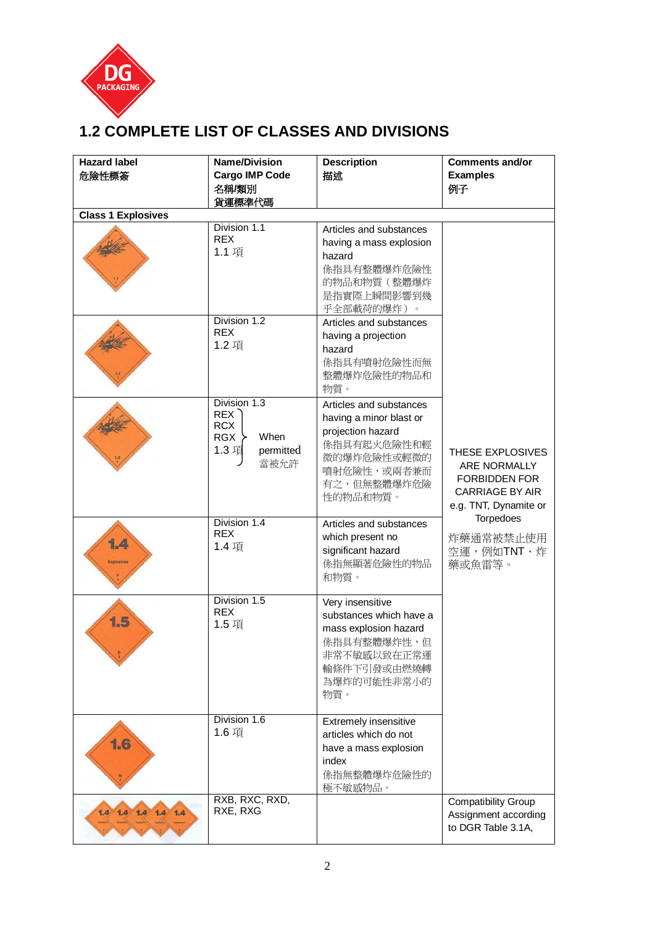

## **1.2 COMPLETE LIST OF CLASSES AND DIVISIONS**

| <b>Hazard label</b>       | <b>Name/Division</b>             | <b>Description</b>         | <b>Comments and/or</b>     |
|---------------------------|----------------------------------|----------------------------|----------------------------|
| 危險性標簽                     | <b>Cargo IMP Code</b>            | 描述                         | <b>Examples</b>            |
|                           | 名稱/類別                            |                            | 例子                         |
|                           | 貨運標準代碼                           |                            |                            |
| <b>Class 1 Explosives</b> |                                  |                            |                            |
|                           | Division 1.1                     | Articles and substances    |                            |
|                           | <b>REX</b>                       | having a mass explosion    |                            |
|                           | 1.1 項                            | hazard                     |                            |
|                           |                                  | 係指具有整體爆炸危險性                |                            |
|                           |                                  | 的物品和物質(整體爆炸                |                            |
|                           |                                  | 是指實際上瞬間影響到幾                |                            |
|                           |                                  | 乎全部載荷的爆炸)。                 |                            |
|                           | Division 1.2                     | Articles and substances    |                            |
|                           | <b>REX</b>                       | having a projection        |                            |
|                           | 1.2 項                            | hazard                     |                            |
|                           |                                  | 係指具有噴射危險性而無                |                            |
|                           |                                  | 整體爆炸危險性的物品和                |                            |
|                           |                                  | 物質。                        |                            |
|                           | Division 1.3<br>REX <sup>2</sup> | Articles and substances    |                            |
|                           | <b>RCX</b>                       | having a minor blast or    |                            |
|                           | When<br>RGX                      | projection hazard          |                            |
|                           | 1.3 項<br>permitted               | 係指具有起火危險性和輕                | THESE EXPLOSIVES           |
|                           | 當被允許                             | 微的爆炸危險性或輕微的                | ARE NORMALLY               |
|                           |                                  | 噴射危險性,或兩者兼而<br>有之,但無整體爆炸危險 | <b>FORBIDDEN FOR</b>       |
|                           |                                  | 性的物品和物質。                   | <b>CARRIAGE BY AIR</b>     |
|                           |                                  |                            | e.g. TNT, Dynamite or      |
|                           | Division 1.4                     | Articles and substances    | Torpedoes                  |
|                           | <b>REX</b>                       | which present no           | 炸藥通常被禁止使用                  |
| 1.4                       | 1.4 項                            | significant hazard         | 空運,例如TNT、炸                 |
| <b>Explosives</b>         |                                  | 係指無顯著危險性的物品                | 藥或魚雷等。                     |
|                           |                                  | 和物質。                       |                            |
|                           |                                  |                            |                            |
|                           | Division 1.5<br><b>REX</b>       | Very insensitive           |                            |
| 1.5                       | 1.5 項                            | substances which have a    |                            |
|                           |                                  | mass explosion hazard      |                            |
|                           |                                  | <b>係指具有整體爆炸性,但</b>         |                            |
|                           |                                  | 非常不敏感以致在正常運<br>輸條件下引發或由燃燒轉 |                            |
|                           |                                  | 為爆炸的可能性非常小的                |                            |
|                           |                                  | 物質。                        |                            |
|                           |                                  |                            |                            |
|                           | Division 1.6                     | Extremely insensitive      |                            |
|                           | 1.6 項                            | articles which do not      |                            |
| 1.6                       |                                  | have a mass explosion      |                            |
|                           |                                  | index                      |                            |
|                           |                                  | 係指無整體爆炸危險性的                |                            |
|                           |                                  | 極不敏感物品。                    |                            |
|                           | RXB, RXC, RXD,<br>RXE, RXG       |                            | <b>Compatibility Group</b> |
| 1.4/1.4/1.4/1.4           |                                  |                            | Assignment according       |
|                           |                                  |                            | to DGR Table 3.1A,         |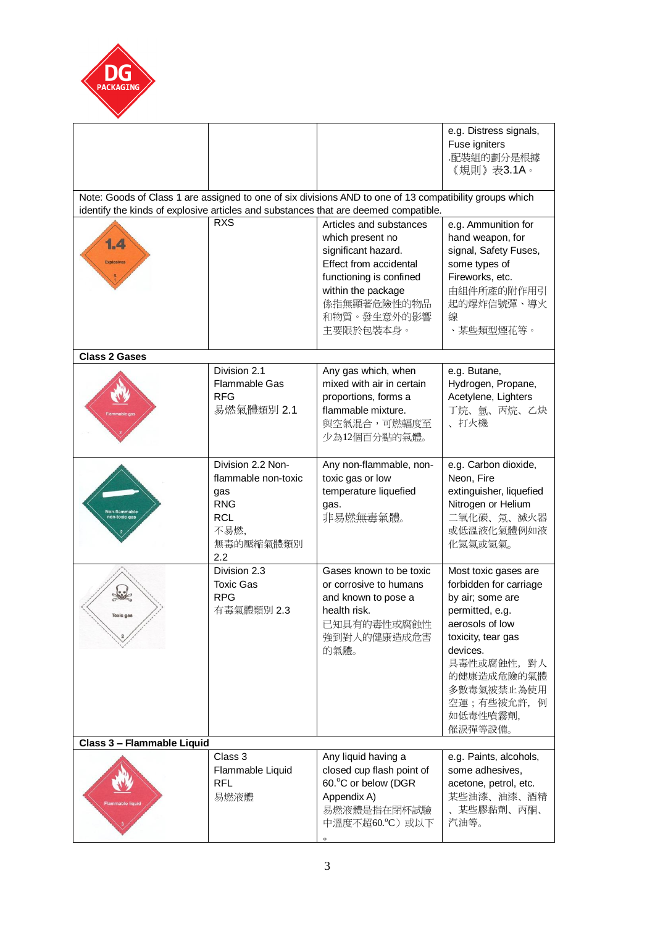

|                            |                                                                                                                                                                                                |                                                                                                                                                                                          | e.g. Distress signals,<br>Fuse igniters<br>.配裝組的劃分是根據<br>《規則》表3.1A。                                                                                                                                                        |  |  |  |
|----------------------------|------------------------------------------------------------------------------------------------------------------------------------------------------------------------------------------------|------------------------------------------------------------------------------------------------------------------------------------------------------------------------------------------|----------------------------------------------------------------------------------------------------------------------------------------------------------------------------------------------------------------------------|--|--|--|
|                            | Note: Goods of Class 1 are assigned to one of six divisions AND to one of 13 compatibility groups which<br>identify the kinds of explosive articles and substances that are deemed compatible. |                                                                                                                                                                                          |                                                                                                                                                                                                                            |  |  |  |
| 1.4<br><b>Explosives</b>   | <b>RXS</b>                                                                                                                                                                                     | Articles and substances<br>which present no<br>significant hazard.<br>Effect from accidental<br>functioning is confined<br>within the package<br>係指無顯著危險性的物品<br>和物質。發生意外的影響<br>主要限於包裝本身。 | e.g. Ammunition for<br>hand weapon, for<br>signal, Safety Fuses,<br>some types of<br>Fireworks, etc.<br>由組件所產的附作用引<br>起的爆炸信號彈、導火<br>線<br>、某些類型煙花等。                                                                         |  |  |  |
| <b>Class 2 Gases</b>       |                                                                                                                                                                                                |                                                                                                                                                                                          |                                                                                                                                                                                                                            |  |  |  |
|                            | Division 2.1<br>Flammable Gas<br><b>RFG</b><br>易燃氣體類別 2.1                                                                                                                                      | Any gas which, when<br>mixed with air in certain<br>proportions, forms a<br>flammable mixture.<br>與空氣混合,可燃輻度至<br>少為12個百分點的氣體。                                                            | e.g. Butane,<br>Hydrogen, Propane,<br>Acetylene, Lighters<br>丁烷、氫、丙烷、乙炔<br>、打火機                                                                                                                                            |  |  |  |
| Non-flammable              | Division 2.2 Non-<br>flammable non-toxic<br>gas<br><b>RNG</b><br><b>RCL</b><br>不易燃,<br>無毒的壓縮氣體類別<br>2.2                                                                                        | Any non-flammable, non-<br>toxic gas or low<br>temperature liquefied<br>gas.<br>非易燃無毒氣體。                                                                                                 | e.g. Carbon dioxide,<br>Neon, Fire<br>extinguisher, liquefied<br>Nitrogen or Helium<br>二氧化碳、氖、滅火器<br>或低溫液化氣體例如液<br>化氮氣或氦氣。                                                                                                 |  |  |  |
| <b>TOXIC GI</b>            | Division 2.3<br><b>Toxic Gas</b><br><b>RPG</b><br>有毒氣體類別 2.3                                                                                                                                   | Gases known to be toxic<br>or corrosive to humans<br>and known to pose a<br>health risk.<br>已知具有的毒性或腐蝕性<br>強到對人的健康造成危害<br>的氣體。                                                           | Most toxic gases are<br>forbidden for carriage<br>by air; some are<br>permitted, e.g.<br>aerosols of low<br>toxicity, tear gas<br>devices.<br>具毒性或腐蝕性, 對人<br>的健康造成危險的氣體<br>多數毒氣被禁止為使用<br>空運;有些被允許,例<br>如低毒性噴霧劑,<br>催淚彈等設備。 |  |  |  |
| Class 3 - Flammable Liquid |                                                                                                                                                                                                |                                                                                                                                                                                          |                                                                                                                                                                                                                            |  |  |  |
| <b>Flammable liquid</b>    | Class 3<br>Flammable Liquid<br><b>RFL</b><br>易燃液體                                                                                                                                              | Any liquid having a<br>closed cup flash point of<br>60.°C or below (DGR<br>Appendix A)<br>易燃液體是指在閉杯試驗<br>中溫度不超60.°C)或以下                                                                  | e.g. Paints, alcohols,<br>some adhesives,<br>acetone, petrol, etc.<br>某些油漆、油漆、酒精<br>某些膠黏劑、丙酮、<br>汽油等。                                                                                                                      |  |  |  |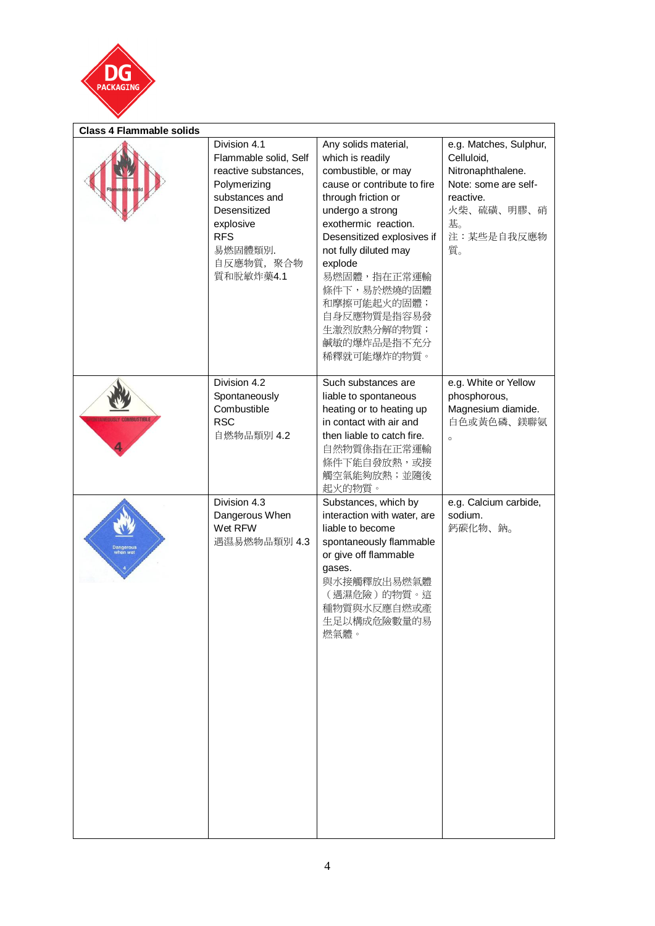

| <b>Class 4 Flammable solids</b> |                                                                                                                                                                                  |                                                                                                                                                                                                                                                                                                                                              |                                                                                                                                        |
|---------------------------------|----------------------------------------------------------------------------------------------------------------------------------------------------------------------------------|----------------------------------------------------------------------------------------------------------------------------------------------------------------------------------------------------------------------------------------------------------------------------------------------------------------------------------------------|----------------------------------------------------------------------------------------------------------------------------------------|
|                                 | Division 4.1<br>Flammable solid, Self<br>reactive substances,<br>Polymerizing<br>substances and<br>Desensitized<br>explosive<br><b>RFS</b><br>易燃固體類別.<br>自反應物質, 聚合物<br>質和脫敏炸藥4.1 | Any solids material,<br>which is readily<br>combustible, or may<br>cause or contribute to fire<br>through friction or<br>undergo a strong<br>exothermic reaction.<br>Desensitized explosives if<br>not fully diluted may<br>explode<br>易燃固體,指在正常運輸<br>條件下,易於燃燒的固體<br>和摩擦可能起火的固體;<br>自身反應物質是指容易發<br>生激烈放熱分解的物質;<br>鹹敏的爆炸品是指不充分<br>稀釋就可能爆炸的物質。 | e.g. Matches, Sulphur,<br>Celluloid,<br>Nitronaphthalene.<br>Note: some are self-<br>reactive.<br>火柴、硫磺、明膠、硝<br>基。<br>注:某些是自我反應物<br>質。 |
|                                 | Division 4.2<br>Spontaneously<br>Combustible<br><b>RSC</b><br>自燃物品類別 4.2                                                                                                         | Such substances are<br>liable to spontaneous<br>heating or to heating up<br>in contact with air and<br>then liable to catch fire.<br>自然物質係指在正常運輸<br>條件下能自發放熱,或接<br>觸空氣能夠放熱;並隨後<br>起火的物質。                                                                                                                                                     | e.g. White or Yellow<br>phosphorous,<br>Magnesium diamide.<br>白色或黄色磷、鎂聯氨<br>$\circ$                                                    |
|                                 | Division 4.3<br>Dangerous When<br>Wet RFW<br>遇濕易燃物品類別 4.3                                                                                                                        | Substances, which by<br>interaction with water, are<br>liable to become<br>spontaneously flammable<br>or give off flammable<br>gases.<br>與水接觸釋放出易燃氣體<br>(遇濕危險)的物質。這<br>種物質與水反應自燃或產<br>生足以構成危險數量的易<br>燃氣體。                                                                                                                                    | e.g. Calcium carbide,<br>sodium.<br>鈣碳化物、鈉。                                                                                            |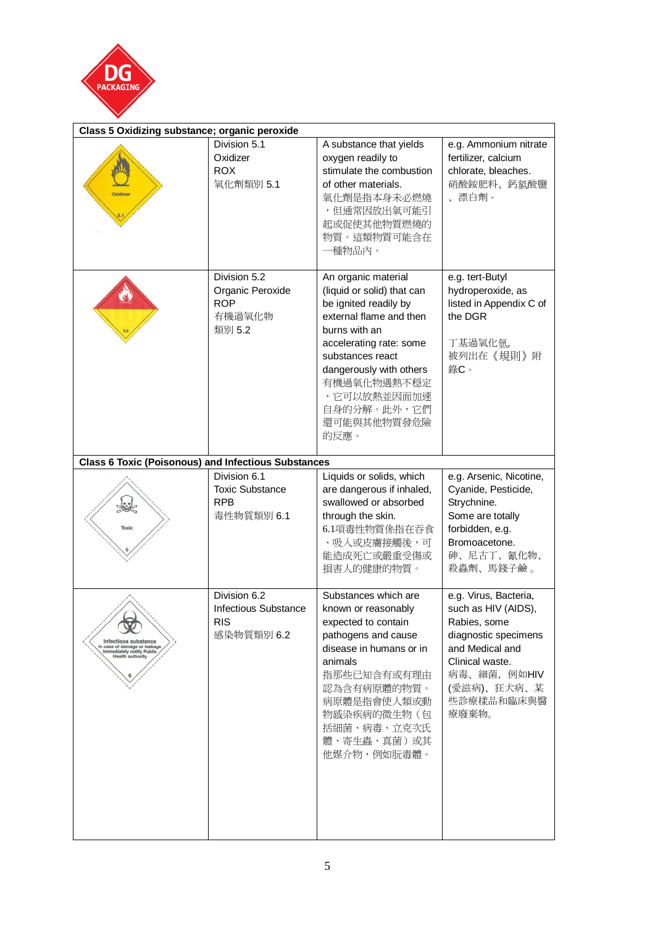

| Class 5 Oxidizing substance; organic peroxide                                                                       |                                                                         |                                                                                                                                                                                                                                                                      |                                                                                                                                                                                  |  |
|---------------------------------------------------------------------------------------------------------------------|-------------------------------------------------------------------------|----------------------------------------------------------------------------------------------------------------------------------------------------------------------------------------------------------------------------------------------------------------------|----------------------------------------------------------------------------------------------------------------------------------------------------------------------------------|--|
| Oxidizer                                                                                                            | Division 5.1<br>Oxidizer<br><b>ROX</b><br>氧化劑類別 5.1                     | A substance that yields<br>oxygen readily to<br>stimulate the combustion<br>of other materials.<br>氧化劑是指本身未必燃燒<br>,但通常因放出氧可能引<br>起或促使其他物質燃燒的<br>物質。這類物質可能含在<br>一種物品内。                                                                                                | e.g. Ammonium nitrate<br>fertilizer, calcium<br>chlorate, bleaches.<br>硝酸銨肥料、鈣氯酸鹽<br>、漂白劑。                                                                                       |  |
|                                                                                                                     | Division 5.2<br>Organic Peroxide<br><b>ROP</b><br>有機過氧化物<br>類別 5.2      | An organic material<br>(liquid or solid) that can<br>be ignited readily by<br>external flame and then<br>burns with an<br>accelerating rate: some<br>substances react<br>dangerously with others<br>有機過氧化物遇熱不穩定<br>,它可以放熱並因面加速<br>自身的分解。此外,它們<br>還可能與其他物質發危險<br>的反應。 | e.g. tert-Butyl<br>hydroperoxide, as<br>listed in Appendix C of<br>the DGR<br>丁基過氧化氫,<br>被列出在《規則》附<br>錄C。                                                                        |  |
| <b>Class 6 Toxic (Poisonous) and Infectious Substances</b>                                                          |                                                                         |                                                                                                                                                                                                                                                                      |                                                                                                                                                                                  |  |
| Toxic                                                                                                               | Division 6.1<br><b>Toxic Substance</b><br><b>RPB</b><br>毒性物質類別 6.1      | Liquids or solids, which<br>are dangerous if inhaled,<br>swallowed or absorbed<br>through the skin.<br>6.1項毒性物質係指在吞食<br>、吸入或皮膚接觸後,可<br>能造成死亡或嚴重受傷或<br>損害人的健康的物質。                                                                                                     | e.g. Arsenic, Nicotine,<br>Cyanide, Pesticide,<br>Strychnine.<br>Some are totally<br>forbidden, e.g.<br>Bromoacetone.<br>砷、尼古丁、氰化物、<br>殺蟲劑、馬錢子鹼。                                 |  |
| Infectious substance<br>In case of damage or leakage<br><b>Immediately notify Public</b><br><b>Health authority</b> | Division 6.2<br><b>Infectious Substance</b><br><b>RIS</b><br>感染物質類別 6.2 | Substances which are<br>known or reasonably<br>expected to contain<br>pathogens and cause<br>disease in humans or in<br>animals<br>指那些已知含有或有理由<br>認為含有病原體的物質。<br>病原體是指會使人類或動<br>物感染疾病的微生物(包<br>括細菌、病毒、立克次氏<br>體、寄生蟲、真菌)或其<br>他媒介物,例如朊毒體。                             | e.g. Virus, Bacteria,<br>such as HIV (AIDS),<br>Rabies, some<br>diagnostic specimens<br>and Medical and<br>Clinical waste.<br>病毒、細菌, 例如HIV<br>(愛滋病)、狂犬病、某<br>些診療樣品和臨床與醫<br>療廢棄物。 |  |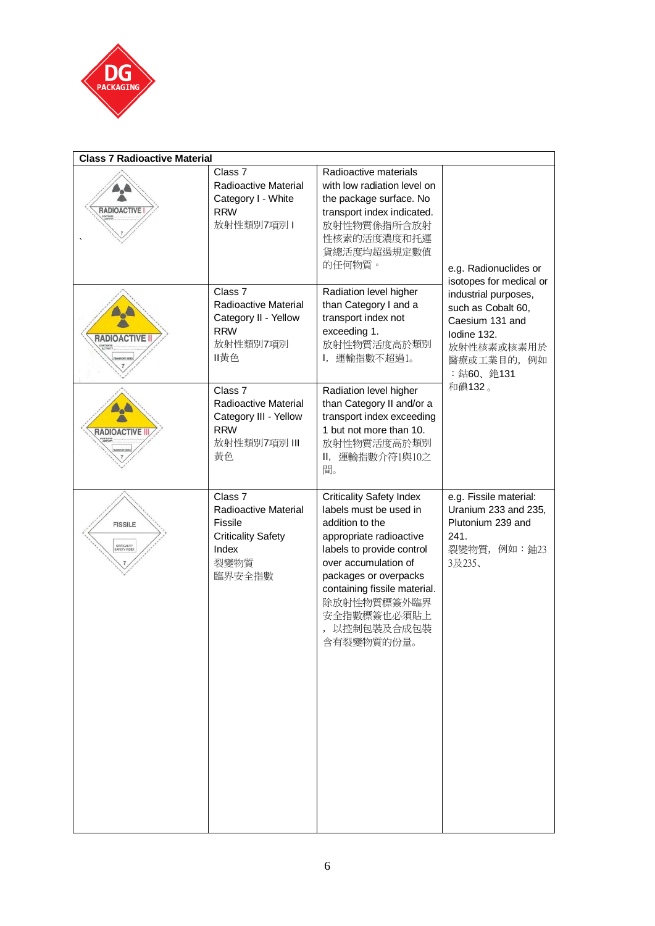

| <b>Class 7 Radioactive Material</b>           |                                                                                                                      |                                                                                                                                                                                                                                                                                 |                                                                                                                         |
|-----------------------------------------------|----------------------------------------------------------------------------------------------------------------------|---------------------------------------------------------------------------------------------------------------------------------------------------------------------------------------------------------------------------------------------------------------------------------|-------------------------------------------------------------------------------------------------------------------------|
| <b>RADIOACTIVE</b>                            | Class <sub>7</sub><br>Radioactive Material<br>Category I - White<br><b>RRW</b><br>放射性類別7項別1                          | Radioactive materials<br>with low radiation level on<br>the package surface. No<br>transport index indicated.<br>放射性物質係指所含放射<br>性核素的活度濃度和托運<br>貨總活度均超過規定數值<br>的任何物質。                                                                                                            | e.g. Radionuclides or<br>isotopes for medical or                                                                        |
| <b>RADIOACTIVE II</b>                         | Class <sub>7</sub><br>Radioactive Material<br>Category II - Yellow<br><b>RRW</b><br>放射性類別7項別<br>ll黄色                 | Radiation level higher<br>than Category I and a<br>transport index not<br>exceeding 1.<br>放射性物質活度高於類別<br>I, 運輸指數不超過1。                                                                                                                                                           | industrial purposes,<br>such as Cobalt 60,<br>Caesium 131 and<br>Iodine 132.<br>放射性核素或核素用於<br>醫療或工業目的, 例如<br>: 鈷60、銫131 |
| <b>RADIOACTIVE II</b>                         | Class <sub>7</sub><br>Radioactive Material<br>Category III - Yellow<br><b>RRW</b><br>放射性類別7項別 III<br>黃色              | Radiation level higher<br>than Category II and/or a<br>transport index exceeding<br>1 but not more than 10.<br>放射性物質活度高於類別<br>Ⅱ, 運輸指數介符1與10之<br>間。                                                                                                                              | 和碘132。                                                                                                                  |
| <b>FISSILE</b><br>CRITICALITY<br>SAFETY INDEX | Class <sub>7</sub><br>Radioactive Material<br><b>Fissile</b><br><b>Criticality Safety</b><br>Index<br>裂變物質<br>臨界安全指數 | <b>Criticality Safety Index</b><br>labels must be used in<br>addition to the<br>appropriate radioactive<br>labels to provide control<br>over accumulation of<br>packages or overpacks<br>containing fissile material.<br>除放射性物質標簽外臨界<br>安全指數標簽也必須貼上<br>以控制包裝及合成包裝<br>含有裂變物質的份量。 | e.g. Fissile material:<br>Uranium 233 and 235,<br>Plutonium 239 and<br>241.<br>裂變物質, 例如:鈾23<br>3及235、                   |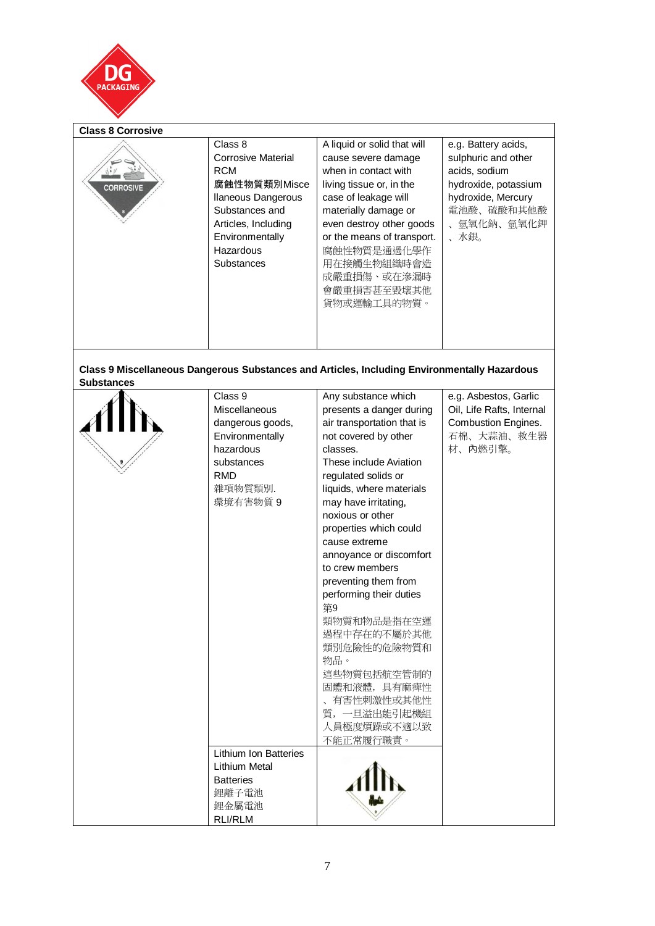

| <b>Class 8 Corrosive</b> |                                                                                                                                                                                               |                                                                                                                                                                                                                                                                                             |                                                                                                                                               |
|--------------------------|-----------------------------------------------------------------------------------------------------------------------------------------------------------------------------------------------|---------------------------------------------------------------------------------------------------------------------------------------------------------------------------------------------------------------------------------------------------------------------------------------------|-----------------------------------------------------------------------------------------------------------------------------------------------|
| <b>CORROSIVE</b>         | Class 8<br><b>Corrosive Material</b><br><b>RCM</b><br>腐蝕性物質類別Misce<br><b>Ilaneous Dangerous</b><br>Substances and<br>Articles, Including<br>Environmentally<br>Hazardous<br><b>Substances</b> | A liquid or solid that will<br>cause severe damage<br>when in contact with<br>living tissue or, in the<br>case of leakage will<br>materially damage or<br>even destroy other goods<br>or the means of transport.<br>腐蝕性物質是通過化學作<br>用在接觸生物組織時會造<br>成嚴重損傷、或在滲漏時<br>會嚴重損害甚至毀壞其他<br>貨物或運輸工具的物質。 | e.g. Battery acids,<br>sulphuric and other<br>acids, sodium<br>hydroxide, potassium<br>hydroxide, Mercury<br>電池酸、硫酸和其他酸<br>、氫氧化鈉、氫氧化鉀<br>、水銀。 |
|                          |                                                                                                                                                                                               |                                                                                                                                                                                                                                                                                             |                                                                                                                                               |

**Class 9 Miscellaneous Dangerous Substances and Articles, Including Environmentally Hazardous Substances** 

| Class 9<br>Miscellaneous<br>dangerous goods,<br>Environmentally<br>hazardous<br>substances<br><b>RMD</b><br>雜項物質類別.<br>環境有害物質 9 | Any substance which<br>presents a danger during<br>air transportation that is<br>not covered by other<br>classes.<br>These include Aviation<br>regulated solids or<br>liquids, where materials<br>may have irritating,<br>noxious or other<br>properties which could<br>cause extreme<br>annoyance or discomfort<br>to crew members<br>preventing them from<br>performing their duties<br>第9<br>類物質和物品是指在空運<br>過程中存在的不屬於其他<br>類別危險性的危險物質和<br>物品。<br>這些物質包括航空管制的<br>固體和液體,具有麻痺性<br>有害性刺激性或其他性<br>質,一旦溢出能引起機組<br>人員極度煩躁或不適以致<br>不能正常履行職責。 | e.g. Asbestos, Garlic<br>Oil, Life Rafts, Internal<br><b>Combustion Engines.</b><br>石棉、大蒜油、救生器<br>材、內燃引擎。 |
|---------------------------------------------------------------------------------------------------------------------------------|-----------------------------------------------------------------------------------------------------------------------------------------------------------------------------------------------------------------------------------------------------------------------------------------------------------------------------------------------------------------------------------------------------------------------------------------------------------------------------------------------------------------------------------------|-----------------------------------------------------------------------------------------------------------|
| <b>Lithium Ion Batteries</b>                                                                                                    |                                                                                                                                                                                                                                                                                                                                                                                                                                                                                                                                         |                                                                                                           |
| <b>Lithium Metal</b>                                                                                                            |                                                                                                                                                                                                                                                                                                                                                                                                                                                                                                                                         |                                                                                                           |
| <b>Batteries</b><br>鋰離子電池<br>鉀金屬電池                                                                                              |                                                                                                                                                                                                                                                                                                                                                                                                                                                                                                                                         |                                                                                                           |
| <b>RLI/RLM</b>                                                                                                                  |                                                                                                                                                                                                                                                                                                                                                                                                                                                                                                                                         |                                                                                                           |